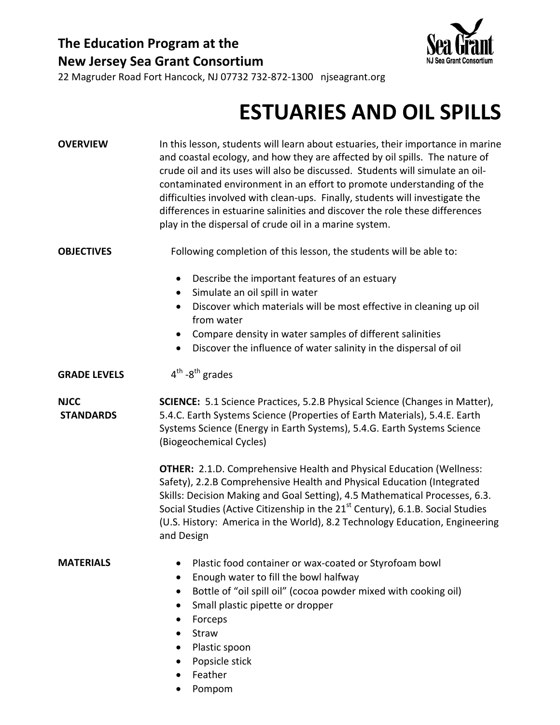## **The Education Program at the New Jersey Sea Grant Consortium**



22 Magruder Road Fort Hancock, NJ 07732 732‐872‐1300 njseagrant.org

## **ESTUARIES AND OIL SPILLS**

| <b>OVERVIEW</b>                 | In this lesson, students will learn about estuaries, their importance in marine<br>and coastal ecology, and how they are affected by oil spills. The nature of<br>crude oil and its uses will also be discussed. Students will simulate an oil-<br>contaminated environment in an effort to promote understanding of the<br>difficulties involved with clean-ups. Finally, students will investigate the<br>differences in estuarine salinities and discover the role these differences<br>play in the dispersal of crude oil in a marine system. |  |  |  |
|---------------------------------|---------------------------------------------------------------------------------------------------------------------------------------------------------------------------------------------------------------------------------------------------------------------------------------------------------------------------------------------------------------------------------------------------------------------------------------------------------------------------------------------------------------------------------------------------|--|--|--|
| <b>OBJECTIVES</b>               | Following completion of this lesson, the students will be able to:                                                                                                                                                                                                                                                                                                                                                                                                                                                                                |  |  |  |
|                                 | Describe the important features of an estuary<br>$\bullet$<br>Simulate an oil spill in water<br>$\bullet$<br>Discover which materials will be most effective in cleaning up oil<br>$\bullet$<br>from water<br>Compare density in water samples of different salinities<br>$\bullet$<br>Discover the influence of water salinity in the dispersal of oil<br>$\bullet$                                                                                                                                                                              |  |  |  |
| <b>GRADE LEVELS</b>             | $4th - 8th$ grades                                                                                                                                                                                                                                                                                                                                                                                                                                                                                                                                |  |  |  |
| <b>NJCC</b><br><b>STANDARDS</b> | <b>SCIENCE:</b> 5.1 Science Practices, 5.2.B Physical Science (Changes in Matter),<br>5.4.C. Earth Systems Science (Properties of Earth Materials), 5.4.E. Earth<br>Systems Science (Energy in Earth Systems), 5.4.G. Earth Systems Science<br>(Biogeochemical Cycles)                                                                                                                                                                                                                                                                            |  |  |  |
|                                 | <b>OTHER:</b> 2.1.D. Comprehensive Health and Physical Education (Wellness:<br>Safety), 2.2.B Comprehensive Health and Physical Education (Integrated<br>Skills: Decision Making and Goal Setting), 4.5 Mathematical Processes, 6.3.<br>Social Studies (Active Citizenship in the 21 <sup>st</sup> Century), 6.1.B. Social Studies<br>(U.S. History: America in the World), 8.2 Technology Education, Engineering<br>and Design                                                                                                                   |  |  |  |
| <b>MATERIALS</b>                | Plastic food container or wax-coated or Styrofoam bowl<br>Enough water to fill the bowl halfway<br>$\bullet$<br>Bottle of "oil spill oil" (cocoa powder mixed with cooking oil)<br>Small plastic pipette or dropper<br>Forceps<br>$\bullet$<br>Straw<br>Plastic spoon<br>Popsicle stick<br>Feather                                                                                                                                                                                                                                                |  |  |  |

• Pompom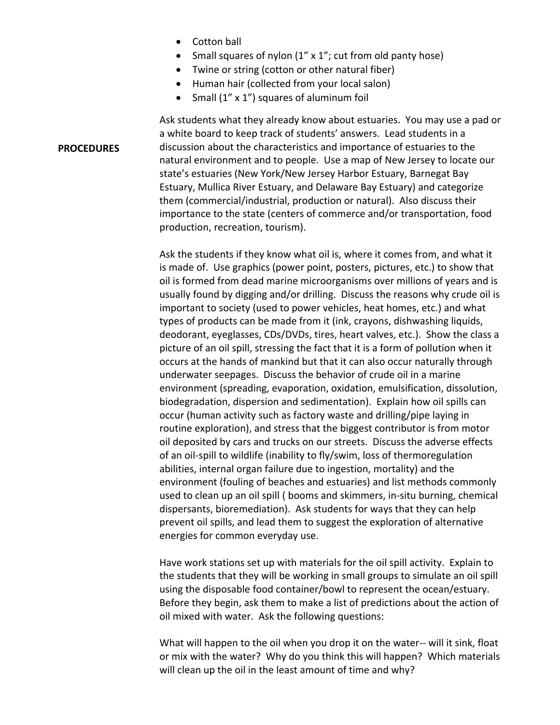• Cotton ball

**PROCEDURES**

- Small squares of nylon (1" x 1"; cut from old panty hose)
- Twine or string (cotton or other natural fiber)
- Human hair (collected from your local salon)
- Small (1" x 1") squares of aluminum foil

Ask students what they already know about estuaries. You may use a pad or a white board to keep track of students' answers. Lead students in a discussion about the characteristics and importance of estuaries to the natural environment and to people. Use a map of New Jersey to locate our state's estuaries (New York/New Jersey Harbor Estuary, Barnegat Bay Estuary, Mullica River Estuary, and Delaware Bay Estuary) and categorize them (commercial/industrial, production or natural). Also discuss their importance to the state (centers of commerce and/or transportation, food production, recreation, tourism).

Ask the students if they know what oil is, where it comes from, and what it is made of. Use graphics (power point, posters, pictures, etc.) to show that oil is formed from dead marine microorganisms over millions of years and is usually found by digging and/or drilling. Discuss the reasons why crude oil is important to society (used to power vehicles, heat homes, etc.) and what types of products can be made from it (ink, crayons, dishwashing liquids, deodorant, eyeglasses, CDs/DVDs, tires, heart valves, etc.). Show the class a picture of an oil spill, stressing the fact that it is a form of pollution when it occurs at the hands of mankind but that it can also occur naturally through underwater seepages. Discuss the behavior of crude oil in a marine environment (spreading, evaporation, oxidation, emulsification, dissolution, biodegradation, dispersion and sedimentation). Explain how oil spills can occur (human activity such as factory waste and drilling/pipe laying in routine exploration), and stress that the biggest contributor is from motor oil deposited by cars and trucks on our streets. Discuss the adverse effects of an oil‐spill to wildlife (inability to fly/swim, loss of thermoregulation abilities, internal organ failure due to ingestion, mortality) and the environment (fouling of beaches and estuaries) and list methods commonly used to clean up an oil spill ( booms and skimmers, in‐situ burning, chemical dispersants, bioremediation). Ask students for ways that they can help prevent oil spills, and lead them to suggest the exploration of alternative energies for common everyday use.

Have work stations set up with materials for the oil spill activity. Explain to the students that they will be working in small groups to simulate an oil spill using the disposable food container/bowl to represent the ocean/estuary. Before they begin, ask them to make a list of predictions about the action of oil mixed with water. Ask the following questions:

What will happen to the oil when you drop it on the water-- will it sink, float or mix with the water? Why do you think this will happen? Which materials will clean up the oil in the least amount of time and why?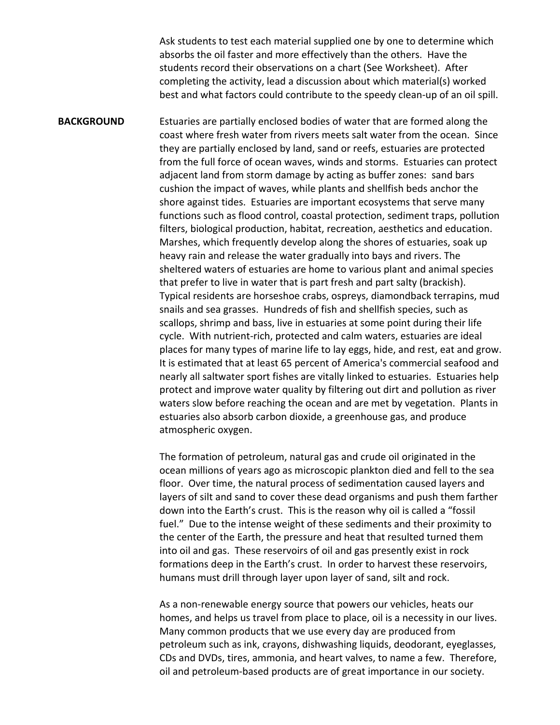Ask students to test each material supplied one by one to determine which absorbs the oil faster and more effectively than the others. Have the students record their observations on a chart (See Worksheet). After completing the activity, lead a discussion about which material(s) worked best and what factors could contribute to the speedy clean‐up of an oil spill.

**BACKGROUND** Estuaries are partially enclosed bodies of water that are formed along the coast where fresh water from rivers meets salt water from the ocean. Since they are partially enclosed by land, sand or reefs, estuaries are protected from the full force of ocean waves, winds and storms. Estuaries can protect adjacent land from storm damage by acting as buffer zones: sand bars cushion the impact of waves, while plants and shellfish beds anchor the shore against tides. Estuaries are important ecosystems that serve many functions such as flood control, coastal protection, sediment traps, pollution filters, biological production, habitat, recreation, aesthetics and education. Marshes, which frequently develop along the shores of estuaries, soak up heavy rain and release the water gradually into bays and rivers. The sheltered waters of estuaries are home to various plant and animal species that prefer to live in water that is part fresh and part salty (brackish). Typical residents are horseshoe crabs, ospreys, diamondback terrapins, mud snails and sea grasses. Hundreds of fish and shellfish species, such as scallops, shrimp and bass, live in estuaries at some point during their life cycle. With nutrient‐rich, protected and calm waters, estuaries are ideal places for many types of marine life to lay eggs, hide, and rest, eat and grow. It is estimated that at least 65 percent of America's commercial seafood and nearly all saltwater sport fishes are vitally linked to estuaries. Estuaries help protect and improve water quality by filtering out dirt and pollution as river waters slow before reaching the ocean and are met by vegetation. Plants in estuaries also absorb carbon dioxide, a greenhouse gas, and produce atmospheric oxygen.

> The formation of petroleum, natural gas and crude oil originated in the ocean millions of years ago as microscopic plankton died and fell to the sea floor. Over time, the natural process of sedimentation caused layers and layers of silt and sand to cover these dead organisms and push them farther down into the Earth's crust. This is the reason why oil is called a "fossil fuel." Due to the intense weight of these sediments and their proximity to the center of the Earth, the pressure and heat that resulted turned them into oil and gas. These reservoirs of oil and gas presently exist in rock formations deep in the Earth's crust. In order to harvest these reservoirs, humans must drill through layer upon layer of sand, silt and rock.

> As a non‐renewable energy source that powers our vehicles, heats our homes, and helps us travel from place to place, oil is a necessity in our lives. Many common products that we use every day are produced from petroleum such as ink, crayons, dishwashing liquids, deodorant, eyeglasses, CDs and DVDs, tires, ammonia, and heart valves, to name a few. Therefore, oil and petroleum‐based products are of great importance in our society.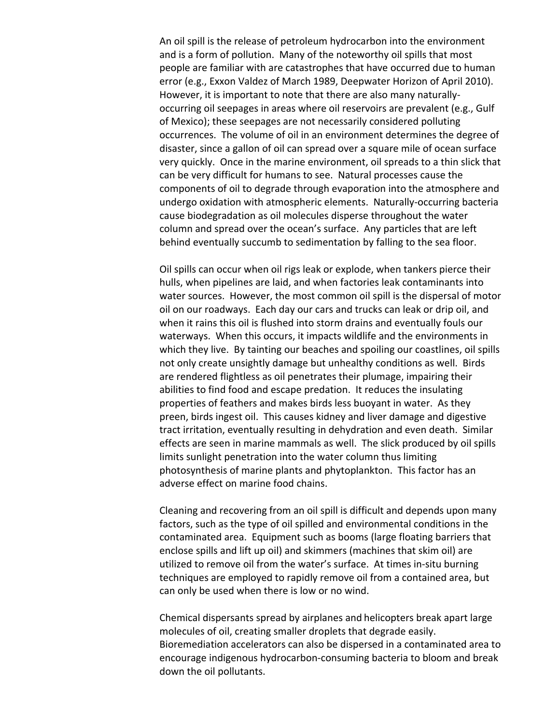An oil spill is the release of petroleum hydrocarbon into the environment and is a form of pollution. Many of the noteworthy oil spills that most people are familiar with are catastrophes that have occurred due to human error (e.g., Exxon Valdez of March 1989, Deepwater Horizon of April 2010). However, it is important to note that there are also many naturally‐ occurring oil seepages in areas where oil reservoirs are prevalent (e.g., Gulf of Mexico); these seepages are not necessarily considered polluting occurrences. The volume of oil in an environment determines the degree of disaster, since a gallon of oil can spread over a square mile of ocean surface very quickly. Once in the marine environment, oil spreads to a thin slick that can be very difficult for humans to see. Natural processes cause the components of oil to degrade through evaporation into the atmosphere and undergo oxidation with atmospheric elements. Naturally‐occurring bacteria cause biodegradation as oil molecules disperse throughout the water column and spread over the ocean's surface. Any particles that are left behind eventually succumb to sedimentation by falling to the sea floor.

Oil spills can occur when oil rigs leak or explode, when tankers pierce their hulls, when pipelines are laid, and when factories leak contaminants into water sources. However, the most common oil spill is the dispersal of motor oil on our roadways. Each day our cars and trucks can leak or drip oil, and when it rains this oil is flushed into storm drains and eventually fouls our waterways. When this occurs, it impacts wildlife and the environments in which they live. By tainting our beaches and spoiling our coastlines, oil spills not only create unsightly damage but unhealthy conditions as well. Birds are rendered flightless as oil penetrates their plumage, impairing their abilities to find food and escape predation. It reduces the insulating properties of feathers and makes birds less buoyant in water. As they preen, birds ingest oil. This causes kidney and liver damage and digestive tract irritation, eventually resulting in dehydration and even death. Similar effects are seen in marine mammals as well. The slick produced by oil spills limits sunlight penetration into the water column thus limiting photosynthesis of marine plants and phytoplankton. This factor has an adverse effect on marine food chains.

Cleaning and recovering from an oil spill is difficult and depends upon many factors, such as the type of oil spilled and environmental conditions in the contaminated area. Equipment such as booms (large floating barriers that enclose spills and lift up oil) and skimmers (machines that skim oil) are utilized to remove oil from the water's surface. At times in‐situ burning techniques are employed to rapidly remove oil from a contained area, but can only be used when there is low or no wind.

Chemical dispersants spread by airplanes and helicopters break apart large molecules of oil, creating smaller droplets that degrade easily. Bioremediation accelerators can also be dispersed in a contaminated area to encourage indigenous hydrocarbon‐consuming bacteria to bloom and break down the oil pollutants.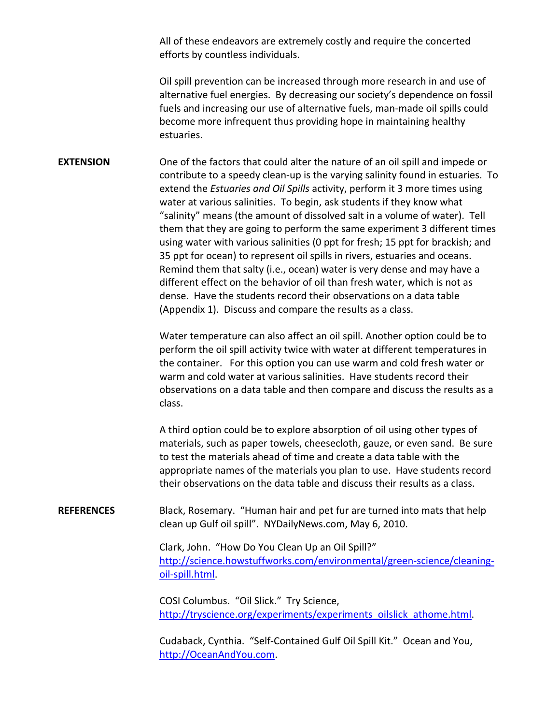All of these endeavors are extremely costly and require the concerted efforts by countless individuals.

Oil spill prevention can be increased through more research in and use of alternative fuel energies. By decreasing our society's dependence on fossil fuels and increasing our use of alternative fuels, man-made oil spills could become more infrequent thus providing hope in maintaining healthy estuaries.

**EXTENSION** One of the factors that could alter the nature of an oil spill and impede or contribute to a speedy clean‐up is the varying salinity found in estuaries. To extend the *Estuaries and Oil Spills* activity, perform it 3 more times using water at various salinities. To begin, ask students if they know what "salinity" means (the amount of dissolved salt in a volume of water). Tell them that they are going to perform the same experiment 3 different times using water with various salinities (0 ppt for fresh; 15 ppt for brackish; and 35 ppt for ocean) to represent oil spills in rivers, estuaries and oceans. Remind them that salty (i.e., ocean) water is very dense and may have a different effect on the behavior of oil than fresh water, which is not as dense. Have the students record their observations on a data table (Appendix 1). Discuss and compare the results as a class.

> Water temperature can also affect an oil spill. Another option could be to perform the oil spill activity twice with water at different temperatures in the container. For this option you can use warm and cold fresh water or warm and cold water at various salinities. Have students record their observations on a data table and then compare and discuss the results as a class.

> A third option could be to explore absorption of oil using other types of materials, such as paper towels, cheesecloth, gauze, or even sand. Be sure to test the materials ahead of time and create a data table with the appropriate names of the materials you plan to use. Have students record their observations on the data table and discuss their results as a class.

**REFERENCES** Black, Rosemary. "Human hair and pet fur are turned into mats that help clean up Gulf oil spill". NYDailyNews.com, May 6, 2010.

> Clark, John. "How Do You Clean Up an Oil Spill?" http://science.howstuffworks.com/environmental/green-science/cleaningoil‐spill.html.

COSI Columbus. "Oil Slick." Try Science, http://tryscience.org/experiments/experiments\_oilslick\_athome.html.

Cudaback, Cynthia. "Self‐Contained Gulf Oil Spill Kit." Ocean and You, http://OceanAndYou.com.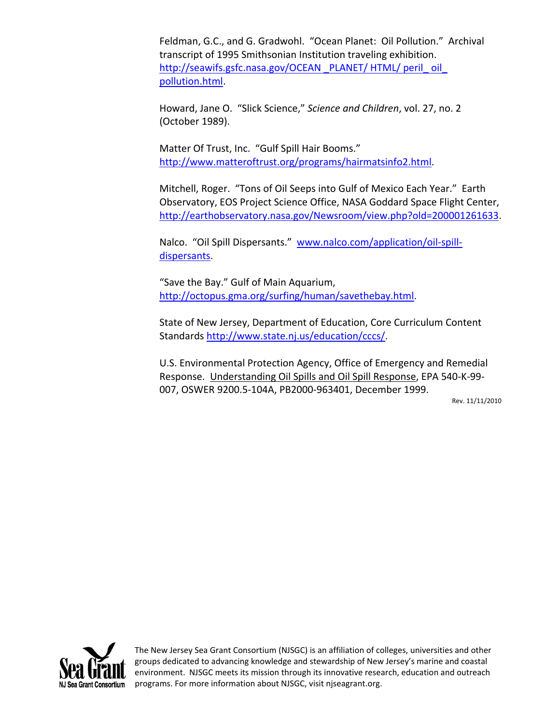Feldman, G.C., and G. Gradwohl. "Ocean Planet: Oil Pollution." Archival transcript of 1995 Smithsonian Institution traveling exhibition. http://seawifs.gsfc.nasa.gov/OCEAN PLANET/ HTML/ peril oil pollution.html.

Howard, Jane O. "Slick Science," *Science and Children*, vol. 27, no. 2 (October 1989).

Matter Of Trust, Inc. "Gulf Spill Hair Booms." http://www.matteroftrust.org/programs/hairmatsinfo2.html.

Mitchell, Roger. "Tons of Oil Seeps into Gulf of Mexico Each Year." Earth Observatory, EOS Project Science Office, NASA Goddard Space Flight Center, http://earthobservatory.nasa.gov/Newsroom/view.php?old=200001261633.

Nalco. "Oil Spill Dispersants." www.nalco.com/application/oil-spilldispersants.

"Save the Bay." Gulf of Main Aquarium, http://octopus.gma.org/surfing/human/savethebay.html.

State of New Jersey, Department of Education, Core Curriculum Content Standards http://www.state.nj.us/education/cccs/.

U.S. Environmental Protection Agency, Office of Emergency and Remedial Response. Understanding Oil Spills and Oil Spill Response, EPA 540‐K‐99‐ 007, OSWER 9200.5‐104A, PB2000‐963401, December 1999.

Rev. 11/11/2010



The New Jersey Sea Grant Consortium (NJSGC) is an affiliation of colleges, universities and other groups dedicated to advancing knowledge and stewardship of New Jersey's marine and coastal environment. NJSGC meets its mission through its innovative research, education and outreach programs. For more information about NJSGC, visit njseagrant.org.